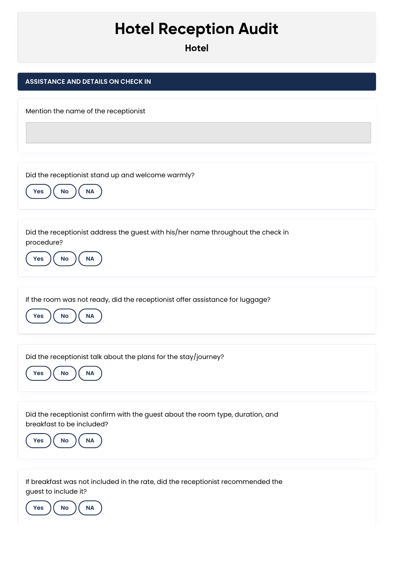## **Hotel Reception Audit**

**Hotel**

| <b>HOTGI</b>                                                                                                                                    |
|-------------------------------------------------------------------------------------------------------------------------------------------------|
| <b>ASSISTANCE AND DETAILS ON CHECK IN</b>                                                                                                       |
| Mention the name of the receptionist                                                                                                            |
| Did the receptionist stand up and welcome warmly?<br>NA<br>No<br><b>Yes</b>                                                                     |
| Did the receptionist address the guest with his/her name throughout the check in<br>procedure?<br><b>NA</b><br>No<br><b>Yes</b>                 |
| If the room was not ready, did the receptionist offer assistance for luggage?<br>No<br><b>NA</b><br><b>Yes</b>                                  |
| Did the receptionist talk about the plans for the stay/journey?<br>$\mathsf{No}$<br>$\sf NA$<br>Yes                                             |
| Did the receptionist confirm with the guest about the room type, duration, and<br>breakfast to be included?<br>Yes<br><b>No</b><br><b>NA</b>    |
| If breakfast was not included in the rate, did the receptionist recommended the<br>guest to include it?<br><b>Yes</b><br><b>No</b><br><b>NA</b> |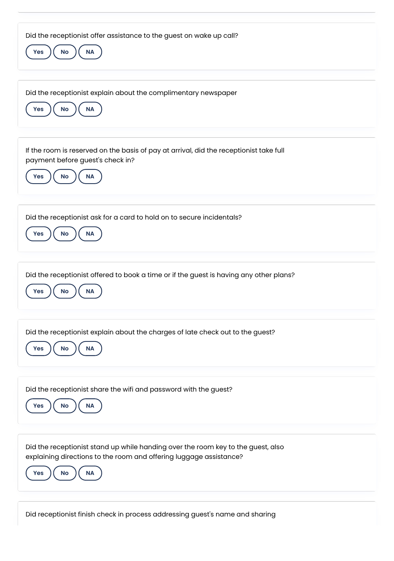| Did the receptionist offer assistance to the guest on wake up call?<br>No<br>$\sf NA$<br><b>Yes</b>                                                                                            |
|------------------------------------------------------------------------------------------------------------------------------------------------------------------------------------------------|
| Did the receptionist explain about the complimentary newspaper<br><b>NA</b><br>No<br>Yes                                                                                                       |
| If the room is reserved on the basis of pay at arrival, did the receptionist take full<br>payment before guest's check in?<br><b>No</b><br>Yes<br><b>NA</b>                                    |
| Did the receptionist ask for a card to hold on to secure incidentals?<br>No<br><b>NA</b><br><b>Yes</b>                                                                                         |
| Did the receptionist offered to book a time or if the guest is having any other plans?<br>No<br><b>Yes</b><br><b>NA</b>                                                                        |
| Did the receptionist explain about the charges of late check out to the guest?<br>NA<br>No<br><b>Yes</b>                                                                                       |
| Did the receptionist share the wifi and password with the guest?<br>No<br>NA<br><b>Yes</b>                                                                                                     |
| Did the receptionist stand up while handing over the room key to the guest, also<br>explaining directions to the room and offering luggage assistance?<br><b>No</b><br><b>NA</b><br><b>Yes</b> |

Did receptionist finish check in process addressing guest's name and sharing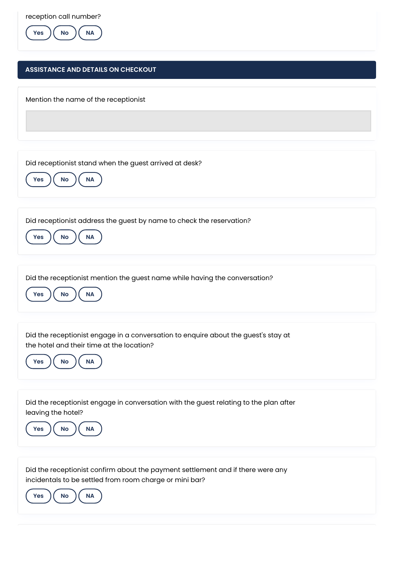reception call number?



## **ASSISTANCE AND DETAILS ON CHECKOUT**

Mention the name of the receptionist

Did receptionist stand when the guest arrived at desk?



Did receptionist address the guest by name to check the reservation?

**Yes**  $\left(\begin{array}{c} \mathsf{No} \end{array}\right)$  ( NA

Did the receptionist mention the guest name while having the conversation?



Did the receptionist engage in a conversation to enquire about the guest's stay at the hotel and their time at the location?



Did the receptionist engage in conversation with the guest relating to the plan after leaving the hotel?



Did the receptionist confirm about the payment settlement and if there were any incidentals to be settled from room charge or mini bar?

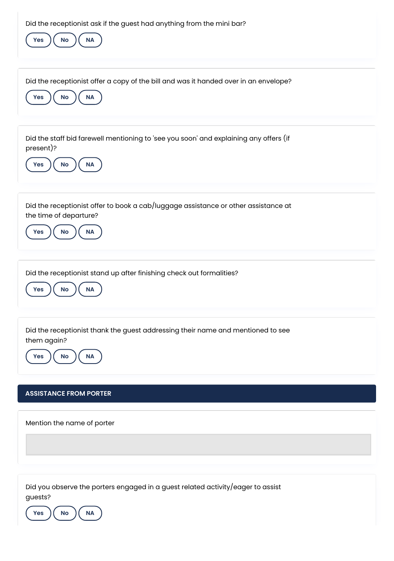| Did the receptionist ask if the guest had anything from the mini bar?<br>$\mathsf{No}$<br><b>NA</b><br>Yes                                    |
|-----------------------------------------------------------------------------------------------------------------------------------------------|
| Did the receptionist offer a copy of the bill and was it handed over in an envelope?<br>$\sf NA$<br>No<br>Yes                                 |
| Did the staff bid farewell mentioning to 'see you soon' and explaining any offers (if<br>present)?<br>No<br>$\sf NA$<br>Yes                   |
| Did the receptionist offer to book a cab/luggage assistance or other assistance at<br>the time of departure?<br><b>No</b><br><b>NA</b><br>Yes |
| Did the receptionist stand up after finishing check out formalities?<br>$\mathsf{No}$<br><b>NA</b><br>Yes                                     |
| Did the receptionist thank the guest addressing their name and mentioned to see<br>them again?<br>No<br>NA<br>Yes                             |
| <b>ASSISTANCE FROM PORTER</b>                                                                                                                 |
| Mention the name of porter                                                                                                                    |
| Did you observe the porters engaged in a guest related activity/eager to assist<br>guests?                                                    |

**Yes No NA**